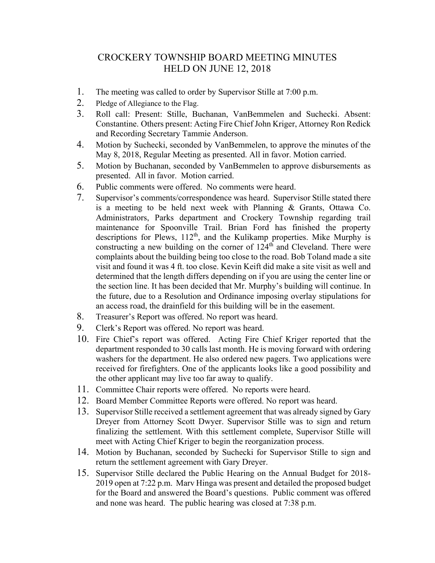## CROCKERY TOWNSHIP BOARD MEETING MINUTES HELD ON JUNE 12, 2018

- 1. The meeting was called to order by Supervisor Stille at 7:00 p.m.
- 2. Pledge of Allegiance to the Flag.
- 3. Roll call: Present: Stille, Buchanan, VanBemmelen and Suchecki. Absent: Constantine. Others present: Acting Fire Chief John Kriger, Attorney Ron Redick and Recording Secretary Tammie Anderson.
- 4. Motion by Suchecki, seconded by VanBemmelen, to approve the minutes of the May 8, 2018, Regular Meeting as presented. All in favor. Motion carried.
- 5. Motion by Buchanan, seconded by VanBemmelen to approve disbursements as presented. All in favor. Motion carried.
- 6. Public comments were offered. No comments were heard.
- 7. Supervisor's comments/correspondence was heard. Supervisor Stille stated there is a meeting to be held next week with Planning & Grants, Ottawa Co. Administrators, Parks department and Crockery Township regarding trail maintenance for Spoonville Trail. Brian Ford has finished the property descriptions for Plews, 112<sup>th</sup>, and the Kulikamp properties. Mike Murphy is constructing a new building on the corner of 124<sup>th</sup> and Cleveland. There were complaints about the building being too close to the road. Bob Toland made a site visit and found it was 4 ft. too close. Kevin Keift did make a site visit as well and determined that the length differs depending on if you are using the center line or the section line. It has been decided that Mr. Murphy's building will continue. In the future, due to a Resolution and Ordinance imposing overlay stipulations for an access road, the drainfield for this building will be in the easement.
- 8. Treasurer's Report was offered. No report was heard.
- 9. Clerk's Report was offered. No report was heard.
- 10. Fire Chief's report was offered. Acting Fire Chief Kriger reported that the department responded to 30 calls last month. He is moving forward with ordering washers for the department. He also ordered new pagers. Two applications were received for firefighters. One of the applicants looks like a good possibility and the other applicant may live too far away to qualify.
- 11. Committee Chair reports were offered. No reports were heard.
- 12. Board Member Committee Reports were offered. No report was heard.
- 13. Supervisor Stille received a settlement agreement that was already signed by Gary Dreyer from Attorney Scott Dwyer. Supervisor Stille was to sign and return finalizing the settlement. With this settlement complete, Supervisor Stille will meet with Acting Chief Kriger to begin the reorganization process.
- 14. Motion by Buchanan, seconded by Suchecki for Supervisor Stille to sign and return the settlement agreement with Gary Dreyer.
- 15. Supervisor Stille declared the Public Hearing on the Annual Budget for 2018- 2019 open at 7:22 p.m. Marv Hinga was present and detailed the proposed budget for the Board and answered the Board's questions. Public comment was offered and none was heard. The public hearing was closed at 7:38 p.m.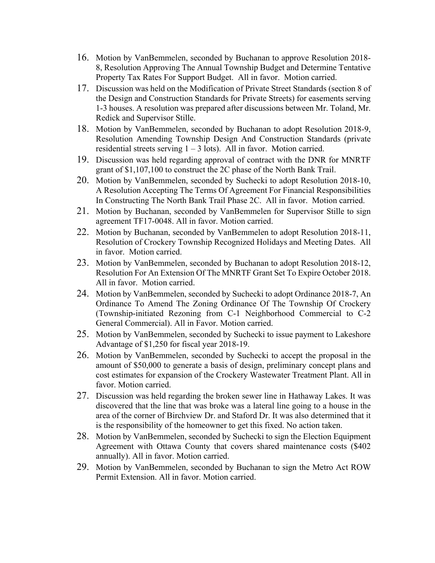- 16. Motion by VanBemmelen, seconded by Buchanan to approve Resolution 2018- 8, Resolution Approving The Annual Township Budget and Determine Tentative Property Tax Rates For Support Budget. All in favor. Motion carried.
- 17. Discussion was held on the Modification of Private Street Standards (section 8 of the Design and Construction Standards for Private Streets) for easements serving 1-3 houses. A resolution was prepared after discussions between Mr. Toland, Mr. Redick and Supervisor Stille.
- 18. Motion by VanBemmelen, seconded by Buchanan to adopt Resolution 2018-9, Resolution Amending Township Design And Construction Standards (private residential streets serving  $1 - 3$  lots). All in favor. Motion carried.
- 19. Discussion was held regarding approval of contract with the DNR for MNRTF grant of \$1,107,100 to construct the 2C phase of the North Bank Trail.
- 20. Motion by VanBemmelen, seconded by Suchecki to adopt Resolution 2018-10, A Resolution Accepting The Terms Of Agreement For Financial Responsibilities In Constructing The North Bank Trail Phase 2C. All in favor. Motion carried.
- 21. Motion by Buchanan, seconded by VanBemmelen for Supervisor Stille to sign agreement TF17-0048. All in favor. Motion carried.
- 22. Motion by Buchanan, seconded by VanBemmelen to adopt Resolution 2018-11, Resolution of Crockery Township Recognized Holidays and Meeting Dates. All in favor. Motion carried.
- 23. Motion by VanBemmelen, seconded by Buchanan to adopt Resolution 2018-12, Resolution For An Extension Of The MNRTF Grant Set To Expire October 2018. All in favor. Motion carried.
- 24. Motion by VanBemmelen, seconded by Suchecki to adopt Ordinance 2018-7, An Ordinance To Amend The Zoning Ordinance Of The Township Of Crockery (Township-initiated Rezoning from C-1 Neighborhood Commercial to C-2 General Commercial). All in Favor. Motion carried.
- 25. Motion by VanBemmelen, seconded by Suchecki to issue payment to Lakeshore Advantage of \$1,250 for fiscal year 2018-19.
- 26. Motion by VanBemmelen, seconded by Suchecki to accept the proposal in the amount of \$50,000 to generate a basis of design, preliminary concept plans and cost estimates for expansion of the Crockery Wastewater Treatment Plant. All in favor. Motion carried.
- 27. Discussion was held regarding the broken sewer line in Hathaway Lakes. It was discovered that the line that was broke was a lateral line going to a house in the area of the corner of Birchview Dr. and Staford Dr. It was also determined that it is the responsibility of the homeowner to get this fixed. No action taken.
- 28. Motion by VanBemmelen, seconded by Suchecki to sign the Election Equipment Agreement with Ottawa County that covers shared maintenance costs (\$402 annually). All in favor. Motion carried.
- 29. Motion by VanBemmelen, seconded by Buchanan to sign the Metro Act ROW Permit Extension. All in favor. Motion carried.